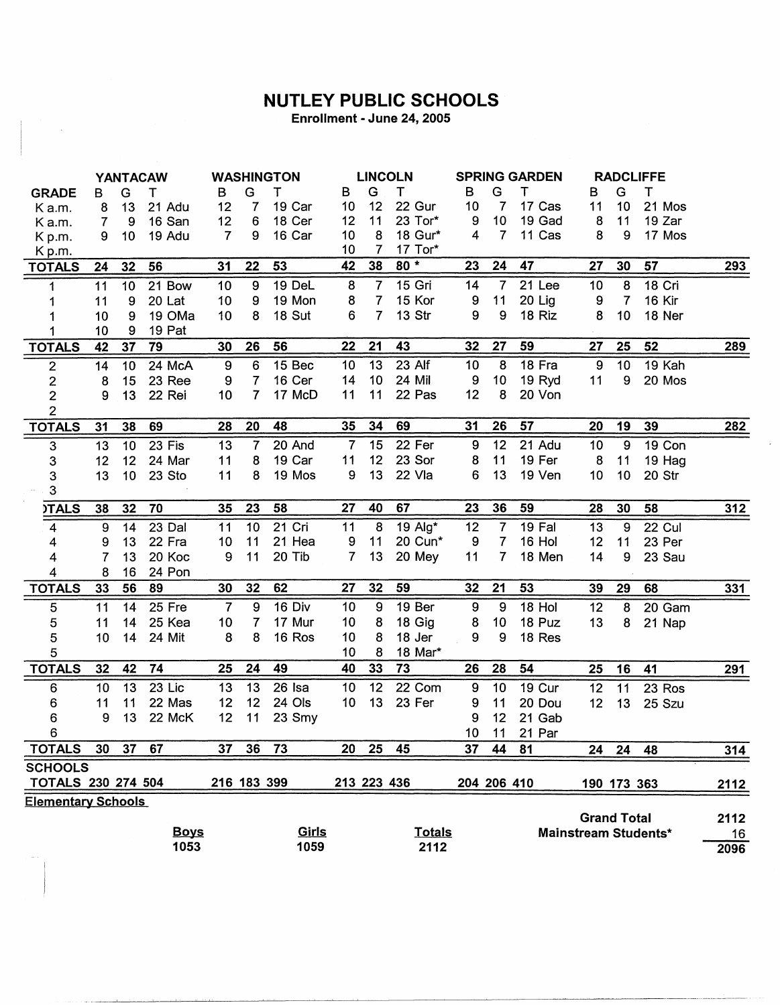## **NUTLEY PUBLIC SCHOOLS**

Enrollment - June 24, 2005

 $\mathcal{A}^{\prime}$ 

|                           |    |    | <b>YANTACAW</b> |                  |                | <b>WASHINGTON</b> |                | <b>LINCOLN</b>  |               |                  | <b>SPRING GARDEN</b> |        |                    | <b>RADCLIFFE</b> |                      |            |
|---------------------------|----|----|-----------------|------------------|----------------|-------------------|----------------|-----------------|---------------|------------------|----------------------|--------|--------------------|------------------|----------------------|------------|
| <b>GRADE</b>              | B  | G  | т               | в                | G              | т                 | в              | G               | т             | в                | G                    | т      | B                  | G                | Т                    |            |
| Ka.m.                     | 8  | 13 | 21 Adu          | 12               | 7              | 19 Car            | 10             | 12              | 22 Gur        | 10               | 7                    | 17 Cas | 11                 | 10               | 21 Mos               |            |
| Ka.m.                     | 7  | 9  | 16 San          | 12               | 6              | 18 Cer            | 12             | 11              | 23 Tor*       | 9                | 10                   | 19 Gad | 8                  | 11               | 19 Zar               |            |
| Kp.m.                     | 9  | 10 | 19 Adu          | $\overline{7}$   | 9              | 16 Car            | 10             | 8               | 18 Gur*       | 4                | $\overline{7}$       | 11 Cas | 8                  | 9                | 17 Mos               |            |
| Kp.m.                     |    |    |                 |                  |                |                   | 10             | $\overline{7}$  | 17 Tor*       |                  |                      |        |                    |                  |                      |            |
| <b>TOTALS</b>             | 24 | 32 | 56              | 31               | 22             | 53                | 42             | 38              | $80*$         | 23               | 24                   | 47     | 27                 | 30               | 57                   | 293        |
| 1                         | 11 | 10 | 21 Bow          | 10               | 9              | 19 DeL            | 8              | $\overline{7}$  | 15 Gri        | 14               | $\overline{7}$       | 21 Lee | 10                 | 8                | 18 Cri               |            |
| 1                         | 11 | 9  | 20 Lat          | 10               | 9              | 19 Mon            | 8              | $\overline{7}$  | 15 Kor        | 9                | 11                   | 20 Lig | 9                  | $\overline{7}$   | 16 Kir               |            |
| 1                         | 10 | 9  | 19 OMa          | 10               | 8              | 18 Sut            | 6              | $\overline{7}$  | 13 Str        | 9                | 9                    | 18 Riz | 8                  | 10               | 18 Ner               |            |
| 1                         | 10 | 9  | 19 Pat          |                  |                |                   |                |                 |               |                  |                      |        |                    |                  |                      |            |
| <b>TOTALS</b>             | 42 | 37 | 79              | 30               | 26             | 56                | 22             | 21              | 43            | 32               | 27                   | 59     | 27                 | 25               | 52                   | 289        |
| $\mathbf 2$               | 14 | 10 | 24 McA          | $\boldsymbol{9}$ | 6              | 15 Bec            | 10             | 13              | 23 Alf        | 10               | 8                    | 18 Fra | 9                  | 10               | 19 Kah               |            |
| $\overline{\mathbf{c}}$   | 8  | 15 | 23 Ree          | 9                | $\overline{7}$ | 16 Cer            | 14             | 10              | 24 Mil        | 9                | 10                   | 19 Ryd | 11                 | 9                | 20 Mos               |            |
| $\overline{2}$            | 9  | 13 | 22 Rei          | 10               | $\overline{7}$ | 17 McD            | 11             | 11              | 22 Pas        | 12               | 8                    | 20 Von |                    |                  |                      |            |
| $\overline{2}$            |    |    |                 |                  |                |                   |                |                 |               |                  |                      |        |                    |                  |                      |            |
| <b>TOTALS</b>             | 31 | 38 | 69              | 28               | 20             | 48                | 35             | 34              | 69            | 31               | 26                   | 57     | 20                 | 19               | 39                   | 282        |
| $\mathbf{3}$              | 13 | 10 | 23 Fis          | 13               | $\overline{7}$ | 20 And            | $\overline{7}$ | 15              | 22 Fer        | 9                | 12                   | 21 Adu | 10                 | 9                | 19 Con               |            |
| 3                         | 12 | 12 | 24 Mar          | 11               | 8              | 19 Car            | 11             | 12              | 23 Sor        | 8                | 11                   | 19 Fer | 8                  | 11               | 19 Hag               |            |
| 3                         | 13 | 10 | 23 Sto          | 11               | 8              | 19 Mos            | 9              | 13              | 22 Vla        | 6                | 13                   | 19 Ven | 10                 | 10               | 20 Str               |            |
| $\mathbf{3}$              |    |    |                 |                  |                |                   |                |                 |               |                  |                      |        |                    |                  |                      |            |
| <b>)TALS</b>              | 38 | 32 | 70              | 35               | 23             | 58                | 27             | 40              | 67            | 23               | 36                   | 59     | 28                 | 30               | 58                   | <u>312</u> |
| 4                         | 9  | 14 | 23 Dal          | 11               | 10             | 21 Cri            | 11             | 8               | 19 Alg*       | 12               | $\overline{7}$       | 19 Fal | 13                 | 9                | 22 Cul               |            |
| 4                         | 9  | 13 | 22 Fra          | 10               | 11             | 21 Hea            | 9              | 11              | 20 Cun*       | 9                | $\overline{7}$       | 16 Hol | 12                 | 11               | 23 Per               |            |
| 4                         | 7  | 13 | 20 Koc          | 9                | 11             | 20 Tib            | 7              | 13              | 20 Mey        | 11               | 7                    | 18 Men | 14                 | 9                | 23 Sau               |            |
| 4                         | 8  | 16 | 24 Pon          |                  |                |                   |                |                 |               |                  |                      |        |                    |                  |                      |            |
| <b>TOTALS</b>             | 33 | 56 | 89              | 30               | 32             | 62                | 27             | 32              | 59            | 32               | 21                   | 53     | 39                 | 29               | 68                   | 331        |
| 5                         | 11 | 14 | 25 Fre          | $\overline{7}$   | 9              | 16 Div            | 10             | 9               | 19 Ber        | $\boldsymbol{9}$ | 9                    | 18 Hol | 12                 | 8                | 20 Gam               |            |
| 5                         | 11 | 14 | 25 Kea          | 10 <sub>1</sub>  | 7              | 17 Mur            | 10             | 8               | 18 Gig        | 8                | 10                   | 18 Puz | 13                 | 8                | 21 Nap               |            |
| 5                         | 10 | 14 | 24 Mit          | 8                | 8              | 16 Ros            | 10             | 8               | 18 Jer        | 9                | 9                    | 18 Res |                    |                  |                      |            |
| 5                         |    |    |                 |                  |                |                   | 10             | 8               | 18 Mar*       |                  |                      |        |                    |                  |                      |            |
| <b>TOTALS</b>             | 32 | 42 | 74              | 25               | 24             | 49                | 40             | 33              | 73            | 26               | 28                   | 54     | 25                 | 16               | 41                   | 291        |
| 6                         | 10 | 13 | 23 Lic          | 13               | 13             | 26 Isa            | 10             | $\overline{12}$ | 22 Com        | 9                | 10                   | 19 Cur | 12                 | 11               | 23 Ros               |            |
| 6                         | 11 | 11 | 22 Mas          | 12               | 12             | 24 Ols            | 10             | 13              | 23 Fer        | 9                | 11                   | 20 Dou | 12                 | 13               | 25 Szu               |            |
| 6                         | 9  | 13 | 22 McK          | 12               | 11             | 23 Smy            |                |                 |               | 9                | 12                   | 21 Gab |                    |                  |                      |            |
| 6                         |    |    |                 |                  |                |                   |                |                 |               | 10 <sub>1</sub>  | 11                   | 21 Par |                    |                  |                      |            |
| <b>TOTALS</b>             | 30 | 37 | 67              | 37               | 36             | 73                | 20             | 25              | 45            | 37               | 44                   | 81     | 24                 | 24               | 48                   | 314        |
| <b>SCHOOLS</b>            |    |    |                 |                  |                |                   |                |                 |               |                  |                      |        |                    |                  |                      |            |
| <b>TOTALS 230 274 504</b> |    |    |                 |                  | 216 183 399    |                   |                | 213 223 436     |               |                  |                      |        |                    |                  |                      |            |
| <b>Elementary Schools</b> |    |    |                 |                  |                |                   |                |                 |               |                  | 204 206 410          |        | 190 173 363        |                  |                      | 2112       |
|                           |    |    |                 |                  |                |                   |                |                 |               |                  |                      |        | <b>Grand Total</b> |                  |                      | 2112       |
|                           |    |    | <b>Boys</b>     |                  |                | Girls             |                |                 | <b>Totals</b> |                  |                      |        |                    |                  | Mainstream Students* | 16         |
|                           |    |    | 1053            |                  |                | 1059              |                |                 | 2112          |                  |                      |        |                    |                  |                      | 2096       |
|                           |    |    |                 |                  |                |                   |                |                 |               |                  |                      |        |                    |                  |                      |            |